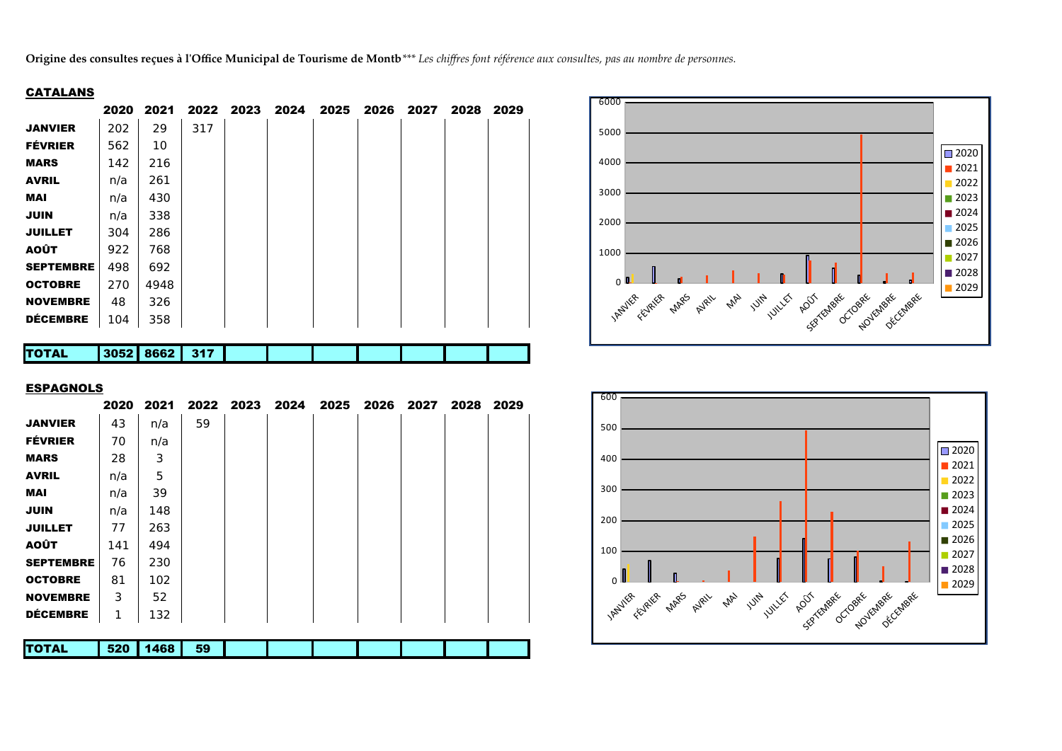Origine des consultes reçues à l'Office Municipal de Tourisme de Montb<sup>\*\*\*</sup> Les chiffres font référence aux consultes, pas au nombre de personnes.

## CATALANS

|                  | 2020 | 2021 | 2022 | 2023 | 2024 | 2025 | 2026 | 2027 | 2028 | 2029 |  |
|------------------|------|------|------|------|------|------|------|------|------|------|--|
| <b>JANVIER</b>   | 202  | 29   | 317  |      |      |      |      |      |      |      |  |
| <b>FÉVRIER</b>   | 562  | 10   |      |      |      |      |      |      |      |      |  |
| <b>MARS</b>      | 142  | 216  |      |      |      |      |      |      |      |      |  |
| <b>AVRIL</b>     | n/a  | 261  |      |      |      |      |      |      |      |      |  |
| <b>MAI</b>       | n/a  | 430  |      |      |      |      |      |      |      |      |  |
| <b>JUIN</b>      | n/a  | 338  |      |      |      |      |      |      |      |      |  |
| <b>JUILLET</b>   | 304  | 286  |      |      |      |      |      |      |      |      |  |
| AOÛT             | 922  | 768  |      |      |      |      |      |      |      |      |  |
| <b>SEPTEMBRE</b> | 498  | 692  |      |      |      |      |      |      |      |      |  |
| <b>OCTOBRE</b>   | 270  | 4948 |      |      |      |      |      |      |      |      |  |
| <b>NOVEMBRE</b>  | 48   | 326  |      |      |      |      |      |      |      |      |  |
| <b>DÉCEMBRE</b>  | 104  | 358  |      |      |      |      |      |      |      |      |  |
|                  |      |      |      |      |      |      |      |      |      |      |  |

| TO.<br>TAL | 3052 | $\mathbf{A}$ | 947<br>. . |  |  |  |  |
|------------|------|--------------|------------|--|--|--|--|
|            |      |              |            |  |  |  |  |

## **ESPAGNOLS**

|                  | 2020 | 2021 |    | 2022 2023 | 2024 | 2025 | 2026 | 2027 | 2028 | 2029 |  |
|------------------|------|------|----|-----------|------|------|------|------|------|------|--|
| <b>JANVIER</b>   | 43   | n/a  | 59 |           |      |      |      |      |      |      |  |
| <b>FÉVRIER</b>   | 70   | n/a  |    |           |      |      |      |      |      |      |  |
| <b>MARS</b>      | 28   | 3    |    |           |      |      |      |      |      |      |  |
| <b>AVRIL</b>     | n/a  | 5    |    |           |      |      |      |      |      |      |  |
| <b>MAI</b>       | n/a  | 39   |    |           |      |      |      |      |      |      |  |
| <b>JUIN</b>      | n/a  | 148  |    |           |      |      |      |      |      |      |  |
| <b>JUILLET</b>   | 77   | 263  |    |           |      |      |      |      |      |      |  |
| <b>AOÛT</b>      | 141  | 494  |    |           |      |      |      |      |      |      |  |
| <b>SEPTEMBRE</b> | 76   | 230  |    |           |      |      |      |      |      |      |  |
| <b>OCTOBRE</b>   | 81   | 102  |    |           |      |      |      |      |      |      |  |
| <b>NOVEMBRE</b>  | 3    | 52   |    |           |      |      |      |      |      |      |  |
| <b>DÉCEMBRE</b>  | 1    | 132  |    |           |      |      |      |      |      |      |  |
|                  |      |      |    |           |      |      |      |      |      |      |  |
| <b>TOTAL</b>     | 520  | 1468 | 59 |           |      |      |      |      |      |      |  |